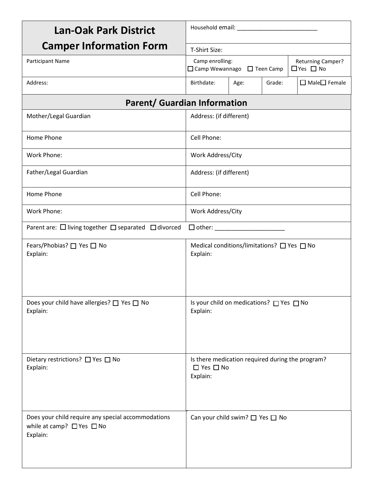| <b>Lan-Oak Park District</b>                                                                          |                                                                                                     |      |        |                           |  |  |
|-------------------------------------------------------------------------------------------------------|-----------------------------------------------------------------------------------------------------|------|--------|---------------------------|--|--|
| <b>Camper Information Form</b>                                                                        | T-Shirt Size:                                                                                       |      |        |                           |  |  |
| Participant Name                                                                                      | Camp enrolling:<br><b>Returning Camper?</b><br>$\Box$ Yes $\Box$ No<br>□ Camp Wewannago □ Teen Camp |      |        |                           |  |  |
| Address:                                                                                              | Birthdate:                                                                                          | Age: | Grade: | $\Box$ Male $\Box$ Female |  |  |
| <b>Parent/ Guardian Information</b>                                                                   |                                                                                                     |      |        |                           |  |  |
| Mother/Legal Guardian                                                                                 | Address: (if different)                                                                             |      |        |                           |  |  |
| Home Phone                                                                                            | Cell Phone:                                                                                         |      |        |                           |  |  |
| Work Phone:                                                                                           | Work Address/City                                                                                   |      |        |                           |  |  |
| Father/Legal Guardian                                                                                 | Address: (if different)                                                                             |      |        |                           |  |  |
| Home Phone                                                                                            | Cell Phone:                                                                                         |      |        |                           |  |  |
| Work Phone:                                                                                           | Work Address/City                                                                                   |      |        |                           |  |  |
| Parent are: $\Box$ living together $\Box$ separated $\Box$ divorced                                   | $\Box$ other: $\Box$                                                                                |      |        |                           |  |  |
| Fears/Phobias? □ Yes □ No<br>Explain:                                                                 | Medical conditions/limitations? $\Box$ Yes $\Box$ No<br>Explain:                                    |      |        |                           |  |  |
| Does your child have allergies? □ Yes □ No<br>Explain:                                                | Is your child on medications? □ Yes □ No<br>Explain:                                                |      |        |                           |  |  |
| Dietary restrictions? □ Yes □ No<br>Explain:                                                          | Is there medication required during the program?<br>$\Box$ Yes $\Box$ No<br>Explain:                |      |        |                           |  |  |
| Does your child require any special accommodations<br>while at camp? $\Box$ Yes $\Box$ No<br>Explain: | Can your child swim? $\Box$ Yes $\Box$ No                                                           |      |        |                           |  |  |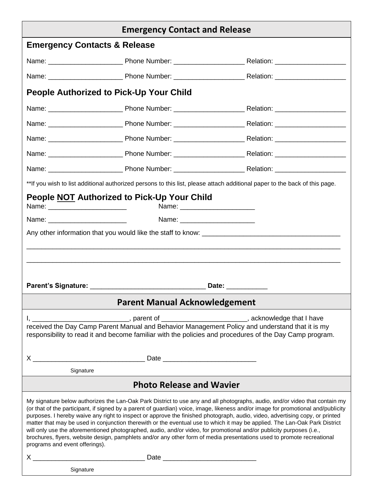| <b>Emergency Contact and Release</b>                                                                                                                                                                                                                                                                                                                                                                                                                                                                                                                                                                                                                                                                                                                                                                               |                                                                                                                                                                                                                               |                                                                                                                            |  |  |  |
|--------------------------------------------------------------------------------------------------------------------------------------------------------------------------------------------------------------------------------------------------------------------------------------------------------------------------------------------------------------------------------------------------------------------------------------------------------------------------------------------------------------------------------------------------------------------------------------------------------------------------------------------------------------------------------------------------------------------------------------------------------------------------------------------------------------------|-------------------------------------------------------------------------------------------------------------------------------------------------------------------------------------------------------------------------------|----------------------------------------------------------------------------------------------------------------------------|--|--|--|
| <b>Emergency Contacts &amp; Release</b>                                                                                                                                                                                                                                                                                                                                                                                                                                                                                                                                                                                                                                                                                                                                                                            |                                                                                                                                                                                                                               |                                                                                                                            |  |  |  |
|                                                                                                                                                                                                                                                                                                                                                                                                                                                                                                                                                                                                                                                                                                                                                                                                                    |                                                                                                                                                                                                                               |                                                                                                                            |  |  |  |
|                                                                                                                                                                                                                                                                                                                                                                                                                                                                                                                                                                                                                                                                                                                                                                                                                    |                                                                                                                                                                                                                               |                                                                                                                            |  |  |  |
| <b>People Authorized to Pick-Up Your Child</b>                                                                                                                                                                                                                                                                                                                                                                                                                                                                                                                                                                                                                                                                                                                                                                     |                                                                                                                                                                                                                               |                                                                                                                            |  |  |  |
|                                                                                                                                                                                                                                                                                                                                                                                                                                                                                                                                                                                                                                                                                                                                                                                                                    |                                                                                                                                                                                                                               |                                                                                                                            |  |  |  |
|                                                                                                                                                                                                                                                                                                                                                                                                                                                                                                                                                                                                                                                                                                                                                                                                                    |                                                                                                                                                                                                                               |                                                                                                                            |  |  |  |
|                                                                                                                                                                                                                                                                                                                                                                                                                                                                                                                                                                                                                                                                                                                                                                                                                    |                                                                                                                                                                                                                               |                                                                                                                            |  |  |  |
|                                                                                                                                                                                                                                                                                                                                                                                                                                                                                                                                                                                                                                                                                                                                                                                                                    |                                                                                                                                                                                                                               |                                                                                                                            |  |  |  |
|                                                                                                                                                                                                                                                                                                                                                                                                                                                                                                                                                                                                                                                                                                                                                                                                                    |                                                                                                                                                                                                                               |                                                                                                                            |  |  |  |
|                                                                                                                                                                                                                                                                                                                                                                                                                                                                                                                                                                                                                                                                                                                                                                                                                    |                                                                                                                                                                                                                               | **If you wish to list additional authorized persons to this list, please attach additional paper to the back of this page. |  |  |  |
|                                                                                                                                                                                                                                                                                                                                                                                                                                                                                                                                                                                                                                                                                                                                                                                                                    | People NOT Authorized to Pick-Up Your Child                                                                                                                                                                                   |                                                                                                                            |  |  |  |
|                                                                                                                                                                                                                                                                                                                                                                                                                                                                                                                                                                                                                                                                                                                                                                                                                    |                                                                                                                                                                                                                               |                                                                                                                            |  |  |  |
|                                                                                                                                                                                                                                                                                                                                                                                                                                                                                                                                                                                                                                                                                                                                                                                                                    |                                                                                                                                                                                                                               |                                                                                                                            |  |  |  |
|                                                                                                                                                                                                                                                                                                                                                                                                                                                                                                                                                                                                                                                                                                                                                                                                                    |                                                                                                                                                                                                                               |                                                                                                                            |  |  |  |
|                                                                                                                                                                                                                                                                                                                                                                                                                                                                                                                                                                                                                                                                                                                                                                                                                    |                                                                                                                                                                                                                               |                                                                                                                            |  |  |  |
|                                                                                                                                                                                                                                                                                                                                                                                                                                                                                                                                                                                                                                                                                                                                                                                                                    |                                                                                                                                                                                                                               |                                                                                                                            |  |  |  |
|                                                                                                                                                                                                                                                                                                                                                                                                                                                                                                                                                                                                                                                                                                                                                                                                                    | Parent's Signature: Management of Science and Taylor and Taylor and Taylor and Taylor and Taylor and Taylor and Taylor and Taylor and Taylor and Taylor and Taylor and Taylor and Taylor and Taylor and Taylor and Taylor and | Date: ___________                                                                                                          |  |  |  |
| <b>Parent Manual Acknowledgement</b>                                                                                                                                                                                                                                                                                                                                                                                                                                                                                                                                                                                                                                                                                                                                                                               |                                                                                                                                                                                                                               |                                                                                                                            |  |  |  |
| I, __________________________________, parent of ______________________________, acknowledge that I have<br>received the Day Camp Parent Manual and Behavior Management Policy and understand that it is my<br>responsibility to read it and become familiar with the policies and procedures of the Day Camp program.                                                                                                                                                                                                                                                                                                                                                                                                                                                                                             |                                                                                                                                                                                                                               |                                                                                                                            |  |  |  |
|                                                                                                                                                                                                                                                                                                                                                                                                                                                                                                                                                                                                                                                                                                                                                                                                                    |                                                                                                                                                                                                                               |                                                                                                                            |  |  |  |
| Signature                                                                                                                                                                                                                                                                                                                                                                                                                                                                                                                                                                                                                                                                                                                                                                                                          |                                                                                                                                                                                                                               |                                                                                                                            |  |  |  |
| <b>Photo Release and Wavier</b>                                                                                                                                                                                                                                                                                                                                                                                                                                                                                                                                                                                                                                                                                                                                                                                    |                                                                                                                                                                                                                               |                                                                                                                            |  |  |  |
| My signature below authorizes the Lan-Oak Park District to use any and all photographs, audio, and/or video that contain my<br>(or that of the participant, if signed by a parent of guardian) voice, image, likeness and/or image for promotional and/publicity<br>purposes. I hereby waive any right to inspect or approve the finished photograph, audio, video, advertising copy, or printed<br>matter that may be used in conjunction therewith or the eventual use to which it may be applied. The Lan-Oak Park District<br>will only use the aforementioned photographed, audio, and/or video, for promotional and/or publicity purposes (i.e.,<br>brochures, flyers, website design, pamphlets and/or any other form of media presentations used to promote recreational<br>programs and event offerings). |                                                                                                                                                                                                                               |                                                                                                                            |  |  |  |
| Signature                                                                                                                                                                                                                                                                                                                                                                                                                                                                                                                                                                                                                                                                                                                                                                                                          |                                                                                                                                                                                                                               |                                                                                                                            |  |  |  |